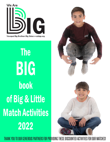

The BIG book of Big & Little Match Activities 2022



THANK YOU TO OUR GENEROUS PARTNERS FOR PROVIDING THESE DISCOUNTED ACTIVITIES FOR OUR MATCHES!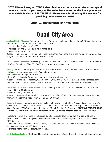NOTE: Please have your YBBBS identification card with you to take advantage of these discounts. If you lose your ID card or have never received one, please call your Match Advisor at 928.778.5135. Please consider thanking the vendors for providing these awesome deals!

## AND ...... REMEMBER TO HAVE FUN!!

# Quad-City Area

Antelope Hills Golf Course… Take your Little "fore" a round of golf and get a great deal! Bigs golf in the afternoon at the twilight rate and your Little golfs for FREE!

- 2pm tee time (twilight rate) \$30
- Includes cart and 2 small buckets of range balls
- Must Present YBBBS ID

Questions: Call Antelope Hills and make reservation, 928-776-7888, and press #2, or visit www.antelopehillsgolf.com. GM Justin Henderson, 928-777-1881.

Arizona Dreams Gymnastics… Receive \$2 off regular price admission for Littles on 'Open Gym', Saturdays 10- 11:30am. Questions: (928) 759-3435 or visit www.azdreamsgym.com.

Bowling... All you'll need is your YBBBS ID! Plaza Bowl in Prescott and Antelope Lanes in Prescott Valley:

- •Bigs pay for bowling games, Little gets to bowl for free.
- •Not valid on Saturdays…SUNDAYS OK!
- •This offer is also valid for waiting Littles when present with an adult.

Questions: Plaza Bowl (Prescott), GM Brian Miller, 928-445-8300 or visit www.plazabowlprescott.com. Antelope Lanes (Prescott Valley), GM Matt Andrietto, 928-772-7331 or visit www.antelopelanes.com.

Boys & Girls Club of Prescott and Prescott Valley... Waiting and Matched Littles are welcome at their locations.

- Annual fee of \$25 is waived
- Must present your YBBBS ID

Questions: Prescott (928) 776-9191. Prescott Valley (928) 237-1377 or visit www.bgccaz.org for more information. Program Director Matt Givens, 307-690-8536.

Fishing in Arizona... There are several places to fish throughout the State of Arizona. Locally we have Watson Lake, Willow Lake, Goldwater Lake, Lynx Lake, Granite Lake, Fain Park & Yavapai Lake in the Quad Cities. Contact YBBBS Office and ask about our "Teach A Kid to Fish" program. *WE HAVE FISHING RODS FOR YOU TO BORROW FOR FREE AT OUR OFFICES! Call us to reserve those at 928.778.5135!*

• A fishing license is required for all resident and non-resident fishermen over the age of 10 years.

•Seniors over 70 years of age who have lived at least 25+ consecutive years in Arizona can qualify for a FREE license.

•Disabled Vets possessing a 100% disability certificate and at least 1+ years of consecutive Arizona residency can qualify for a FREE fishing license.

•For more information, visit azgfd.com/fishing

Full Swing Sport Center... The Quad Cities only indoor batting cages for Softball & Baseball, Bungee Trampo-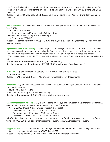line, Zombie Dodgeball and many interactive arcade games. A favorite is our 4-way air hockey game. We even have a junior air hockey for the little ones. Bigs… bring in your Littles and Buy 12 tokens and get 12 tokens FREE!!

Questions: Call Jeff Sandy (928) 515-2300, sandyman777@gmail.com. Visit Full Swing Sport Center on Facebook.

Heritage Park Zoo... All Bigs and Littles who attend the zoo together get in FREE for general admission all year round.

- Open 7 days a week!
- Summer schedule: May 1st Oct. 31st; 9am- 5pm.

Winter schedule: Nov. 1st- April 30th; 10am-4pm.

• Present your YBBBS ID

Questions: Heather Viskovich at (928) 778-4242 ext. 17, hviskovich@heritageparkzoo.org. Visit www.heritageparkzoo.org.

Highland Center for Natural History… Open 7 days a week the Highland Nature Center is the hub of 3 major trails and access to an expansive trail network. Come enjoy nature, a cool creek with water all year long and a beautiful nature center filled with information to learn about nature in our area and Arizona.

• Visit the Discovery Garden; FREE to the public and learn about the 5 major Biomes (Ecosystems) in Arizona

• Offer Day Camps & Weekend Nature Programs all year long

Questions: Manager Andrew Sweeney, 928-776-9550 or visit www.highlandscenter.org.

In The Game… (Formerly Freedom Station) FREE miniature golf to Bigs & Littles

• Present YBBBS ID

Questions: GM Tiffany, (928) 775-4040 or visit www.prescottvalleyinthegame.net.

Jarz of Clay... Bigs and Littles receive a 15% discount off purchase when you present YBBBS ID. Located at Prescott Gateway Mall.

- Hours: Daily, 11am 5pm
- We offer "To Go" supplies for at home painting.

Questions: Owner Abby at (928) 717-2182 or visit www.jarzofclay.com.

Kayaking with Prescott Outdoors... Bigs & Littles come enjoy kayaking on Watson & Goldwater Lakes for FREE on a tandem kayak for one hour this summer! First come, first serve!

• Present YBBBS ID card (Signed waiver by parent is required)

Watson Lake – April 16-Oct. 17, 8 a.m. to 3 p.m.

Goldwater Lake – May 1-Sept. 26, 9 a.m. to 4 p.m.

Willow Lake – May 1-Oct. 17, 8:30 a.m. to 3:30 p.m.

MUST make online reservations at www.prescottoutdoors.com. Week day sessions are less busy. Questions: Call 928-925-1410, paddle@prescottoutdoors.com, Visit www.prescottoutdoors.com.

Phippen Art Museum... Museum offers a one-time gift certificate for FREE admission for a Big and a Little.

• Big and Little must attend together. YBBBS ID a MUST!

Questions: Edd Kellerman, (928) 778-1105 or visit www.phippenartmuseum.org.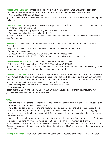Prescott Candle Company... Try candle-dipping for a fun activity with your Little Brother or Little Sister. Prescott Candle Company offers a 10% discount on candle dipping, they also have \$5 candles!

• Present YBBBS ID to receive discount.

Questions: Allie 928-778-2095, customerservice@marinocandles.com, or visit Prescott Candle Company on Facebook.

**Prescott Golf Club...** Junior golfers (17 years & younger) can play for \$15, or \$10 after 1 p.m. Final tee time is 5:30pm during summer months.

- Must be accompanied by a paid adult golfer, must show YBBBS ID.
- Practice range balls, \$5 small bucket, \$10 large.

Questions: (928) 772-8984 Mike Wright-GM, mwright@prescottgolfclub.com. Visit www.prescottgolfclub. com for more info.

Tour Prescott... Searching for something new? Why don't you schedule a tour of the Prescott area with Tour Prescott.

- •Bigs/Littles receive a 20% discount on One & Two Hour Prescott tour adventures.
- •Groups of up to 5 people
- •Ask about other available tours outside of the immediate Prescott area.

Questions: Doug (928) 925-1551, info@tourprescott.com, or visit www.tourprescott.com.

### Yavapai College Swimming Pool... 'Open Swim' costs \$2.00 for Bigs & Littles

•Call for 'Open Swim' schedule at (928) 776-2175, must have YBBBS ID.

Questions: pool (928) 776-2238. For pool hours visit www.yc.edu/v5content/academics/divisions/sciences-and-health/physical-education-and-recreation/pool-hours.html.

Yavapai Trail Adventures... Enjoy horseback riding on trails around our area and support a horse at the same time. Yavapai Trail Adventure's horses are all rescues and are ready to carry you along some of our most beautiful trails for a fun adventure. 1.5-hour trail rides start at \$95/person, 2 hours for \$125/person. YTA will bring the horses to you so you can explore most trails in our area.

•Bigs & Littles present your YBBBS ID and the Little rides for 1/2 price.

•Reservations required.

Reservations & Questions: Cindy O'Daly at 928-308-2974, yavapaitrailadventures@gmail.com; www. yavapaitrailadventures.com for more information.

### YMCA…

• Bigs can add their Littles to their family accounts, even though they are not in the same household, so long as they can provide their YBBBS ID card.

• If a Big has an adults-only account (one adult, two adults) they can add the Little to their account as a child. This would upgrade the membership type to an account with adults and children. The Big to pay the difference in activation fee and pay monthly fee for account. Membership can be either an annual or monthly bank draft.

• Big can join, if not already a member, on the Little's account becoming a Family Membership. Big to pay activation fee and monthly fee. Membership can be either an annual or monthly bank draft. Non-Members: Come enjoy our swimming pool or basketball court. Adults: \$15 (18 & up) Children: \$5 Questions: Operations Director Ryan Harlow, 928-445-7221, ext. 213. Visit www.prescottymca.org for more information.

Reading at the Ranch ... Brian your Little and some books to this Prescott Valley ranch, 13443 E. Wildcat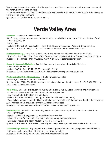Way, to read to Marty's animals, or just hang out and she'll teach your little about horses and the care of the ranch. Don't feed the animals!

• This item is free with YBBBS ID; Attendees must sign release form. Ask for the gate code when calling. All visits must be by appointment.

Questions: Call Marty Bowers, 480-577-6822.

## Verde Valley Area

Bearizona... (Located in Williams, AZ)

Bigs & Littles receive the non-profit group rate when they visit Bearizona...even if it's just the two of you! • Present YBBBS ID

• Open Daily

• Adults (13+) \$25.00 includes tax Ages 4-12 \$15.00 includes tax Ages 3 & Under are FREE Questions: 928-635-2289, Kari St. Clair, kari@bearizona.com, Visit www.bearizona.com.

Coldstone Creamery… Visit Cold Stone Creamery and ask for "Bill's Special, #PLU26" for YBBBS •2 for \$8… Two "Like It Size" Create Your Own Ice Cream with One Mix-In or Shaved Ice for \$8. PLU#26 Questions: Bill Barnes – Mgr. (928) 203-7700. Visit www.coldstonecreamery.com.

Copper Art Museum in Clarkdale... Bigs & Littles receive group rates when visiting together.

• Present YBBBS ID Card

• Adults \$8.75 Ages 10-17 \$3.30 Ages 5-9 \$1.10

Questions: Owner Drake Meinke, 928-649-1858 or visit www.copperartmuseum.com.

### Mingus Union High School Productions… FREE to our Bigs and Littles

•Present your YBBBS ID card at ticket booth.

Questions: Call (928) 634-7531 for school production schedule. Director James Ball, 928-634-7531, ext. 1142, email is jball@muhs.com.

**Out of Africa...** Available to Bigs, Littles, YBBBS Employees & YBBBS Board Members and your Families!

- •All must purchase tickets online at tickets.outofafricapark.com
- •Use Promo Code "307-1177" (include dash)
- •Price is \$31.95 for adults (13 and up), \$13.95 for children (12 and under)

•Once tickets purchased, email will arrive with bar code (digital ticket) that can be printed, or just shown at gate. Includes safari, shows and shuttles. All else separate cost.

Questions: Call Ashton Powell at 928-277-3378 or visit www.outofafricapark.com.

Predator Zipline... Little flies free when Big pays for full price ticket at \$89.95 at Predator Zipline Tours. •Present YBBBS ID

- •Special available during business hours Monday thru Friday
- •Must call ahead for reservations or book online at www.predatorzipline.com.
- •Size & age restrictions apply. Must be 8 yrs. & at least 60 lbs.

Questions: GM Jason 928-567-9947, jason@predatorzipline.com, or visit www.predatorzipline.com.

Sedona Heritage Museum… Bigs and Littles receive half price admission when you present your YBBBS ID.

• Offer also valid for waiting Littles when present with an adult.

Questions: Kathy (928) 282-7038 or visit www.sedonamuseum.org.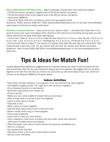Shake, Rattle & Bowl at Cliff Castle Casino... Bigs & Littles get a special deal when they bowl together

- \$2.00/per person, per game (regular price is \$4.00/per person, per game).
- \$1.00/per person shoe rental (regular price is \$2.00/per person, per game).
- Must show YBBBS ID

• Special for Big & Little only. All others in party must pay regular prices.

Questions: Robert Jackson (928) 567-7938, rjackson@cliffcastlecasino.net, or visit www. www.cliffcastlecasinohotel.com/family-fun/shake-rattle-bowl/.

Slide Rock, an Arizona State Park... Load up the car and "slide on down". Visit Slide Rock State Park in Sedona for some cool, clean and slippery FUN! Receive a 20% discount on the below pricing when you call ahead and ask for the Slide Rock State Park Special.

• Hours: Feb. 1-May 27, 8 a.m. to 6 p.m.; May 28-Labor Day, 8 a.m. to 6 p.m.; Labor Day-Nov. 30, 8 a.m. to 6 p.m.; Dec. 1-Jan. 31, 9 a.m. to 5 p.m.; Thanksgiving, 9 a.m. to 2 p.m.; Christmas Eve, 9 a.m. to 2 p.m.

• Entrance Fee: March 1-May 27, per vehicle (1-4 adults), \$20; May 28-Labor Day, per vehicle \$20…\$30 Friday-Sunday; Labor Day to Oct. 31, per vehicle, \$20; Nov-Feb, per vehicle, \$10; \$5 per extra adult;

Questions: Hank Vincent (928) 282-3034, hvincent@azstateparks.gov, or visit www.azstateparks.com/ slide-rock/.

# Tips & Ideas for Match Fun!

Yavapai Big Brothers Big Sisters suggests that our matches choose low-cost/no-cost activities that you both enjoy doing. After all, the most important thing is your time together. We suggest that you sit down together and mark the ones that you'd like to do, and come up with some ideas of your own. Have fun!! (Thanks to the Delaware BBBS for the great ideas!)

## Indoor Activities

- •Play chess, Chinese checkers, or card games. If you do not know how, learn together.
- •Put together a jigsaw puzzle. You might even want to frame it together.
- •Do a crossword puzzle or a word search.
- •Build with Lego blocks or an erector set.
- •Frame a picture.
- •Make your own cards or gifts for people that you care about.
- •Start a scrap book or journal of your time together.
- •Learn to draw, paint or sculpt.
- •Decorate a room.
- •Write a story or a poem together.
- •Call the library about story hours or have your own.
- •Build a model, hook a rug, or make puppets.
- •Carve soap sculptures.
- •Learn how to make your own clothes.
- •Visit a classroom, have lunch at school with your Little, confer with teachers (Be certain to obtain parent permission).
- •Read the paper. Learn about current events, the economy, candidates, etc.
- •Work on a resume.
- •Do a pretend job interview.
- •Talk about where to find a job or how to plan a career.
- •Set up a work internship.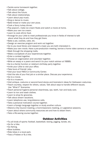- •Tackle some homework together.
- •Talk about college.
- •Talk about the future.
- •Talk about relationships.
- •Learn about pop music.
- •Sing or dance to music.
- •Bake bread or make your own pizza.
- •Cook a fancy turkey dinner.
- •Pop popcorn, make ice cream floats and watch a movie at home.
- •Make your own ice cream.
- •Learn to cook ethnic food.
- •Arrange for your Little to meet professionals you know in fields of interest to talk about what they do and how they got there.
- •Bake a pie, cookies, cake, etc.
- •Design an exercise program and work out together.
- •Go to you local library and research a topic you are both interested in.
- •Make your own movie. Have a pre-production meeting, borrow a home video camera or use a phone.
- •Walk through the shopping malls.
- •Make a scrapbook of your experiences together.
- •Enter a contest together.
- •Choose an organization and volunteer together.
- •Write an essay or a poem and send it to your match advisor at YBBBS.
- •Go to a family function or relative's birthday party together.
- •Invite your Little to visit your office.
- •Take tours of friends' jobs.
- •Visit your local YMCA or Community Center.
- •Visit the site of your first job or a similar place. Discuss your experience.
- •Go to a movie.
- •Go to a museum.
- •Visit antique, costume or second-hand stores and brainstorm ideas for Halloween costumes.
- •Teach courtesy, respect for others, values. Talk about ways to handle different issues.
- Use "What if" Scenarios.
- •Teach personal hygiene-personal cleanliness, eye, teeth, hair and body care.
- •Learn to iron and wash clothes.
- •Learn to shop for groceries.
- •Talk about dream vacations.
- •Learn telephone use, long-distance calls.
- •Take a personal motivation course together.
- •Learn a foreign language together or study another culture.
- •Attend a City Council meeting, a Commissioners meeting, or Legislative sessions.
- •Learn about where community resources are and how to obtain them.
- •Take a life-saving course together.

## Outdoor Activities

- •Try all kinds of sports: football, basketball, boxing, jogging, karate, etc.
- •Go for a hike.
- •Go fishing.
- •Blow bubbles.
- •Ride bikes in a local park.
- •Toss a Frisbee or fly a kite.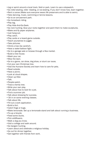- •Jog or sprint around a local track, field or park. Learn to use a stopwatch.
- •Go roller-skating, roller -blading, or ice-skating. If you don't know how, learn together.
- •Rent a canoe (Make sure everyone wears life preservers and is able to swim).
- •Take dancing, music, swimming or tennis lessons.
- •Go to an amusement park.
- •Go horseback riding.
- •Play tag.
- •Play Hide-And-Go-Seek.
- •Go rock hunting. Glue your rocks together and paint them to make sculptures.
- •Make and fly paper airplanes.
- •Just hang out.
- •Play catch.
- •Play cards or a board game outside.
- •Teach yourselves to juggle.
- •Take pictures.
- •Climb a tree (be careful!).
- •Have a water-balloon fight.
- •Go to a garage sale or browse through a flea market.
- •Build a tree house.
- •Wash your car.
- •Mow the lawn.
- •Go to a game, car show, dog show, or stunt car races.
- •Cut your own Christmas tree.
- •Visit the Humane Society and learn how to care for pets.
- •Read outside.
- •Have a picnic.
- •Look at cloud shapes.
- •Clean up litter.
- •Talk.
- •People-watch.
- •Trace a family tree.
- •Write your own play.
- •Talk about how to look for a job.
- •Find a summer job.
- •Talk about dressing for success.
- Sit in on some evening classes.
- •Talk about life.
- •Fill out a work application.
- •Build a fort.
- •Catch frogs or bugs.
- •Make lemonade. Set up a lemonade stand and talk about running a business.
- •Fix-up a bicycle.
- •Feed some ducks.
- •Pick wildflowers.
- •Walk a dog you know.
- •Visit a college and walk around.
- •Go bargain hunting.
- •Learn about and celebrate a religious holiday.
- •Go out for dinner together.
- •Get together with friends from work.